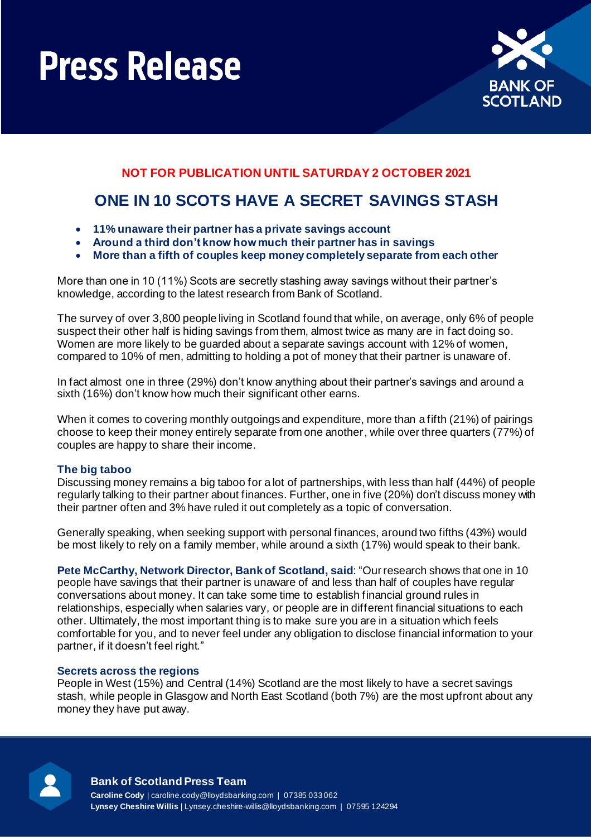# **Press Release**



### **NOT FOR PUBLICATION UNTIL SATURDAY 2 OCTOBER 2021**

## **ONE IN 10 SCOTS HAVE A SECRET SAVINGS STASH**

- **11% unaware their partner has a private savings account**
- **Around a third don't know how much their partner has in savings**
- **More than a fifth of couples keep money completely separate from each other**

More than one in 10 (11%) Scots are secretly stashing away savings without their partner's knowledge, according to the latest research from Bank of Scotland.

The survey of over 3,800 people living in Scotland found that while, on average, only 6% of people suspect their other half is hiding savings from them, almost twice as many are in fact doing so. Women are more likely to be guarded about a separate savings account with 12% of women, compared to 10% of men, admitting to holding a pot of money that their partner is unaware of.

In fact almost one in three (29%) don't know anything about their partner's savings and around a sixth (16%) don't know how much their significant other earns.

When it comes to covering monthly outgoings and expenditure, more than a fifth (21%) of pairings choose to keep their money entirely separate from one another, while over three quarters (77%) of couples are happy to share their income.

#### **The big taboo**

Discussing money remains a big taboo for a lot of partnerships, with less than half (44%) of people regularly talking to their partner about finances. Further, one in five (20%) don't discuss money with their partner often and 3% have ruled it out completely as a topic of conversation.

Generally speaking, when seeking support with personal finances, around two fifths (43%) would be most likely to rely on a family member, while around a sixth (17%) would speak to their bank.

**Pete McCarthy, Network Director, Bank of Scotland, said**: "Our research shows that one in 10 people have savings that their partner is unaware of and less than half of couples have regular conversations about money. It can take some time to establish financial ground rules in relationships, especially when salaries vary, or people are in different financial situations to each other. Ultimately, the most important thing is to make sure you are in a situation which feels comfortable for you, and to never feel under any obligation to disclose financial information to your partner, if it doesn't feel right."

#### **Secrets across the regions**

People in West (15%) and Central (14%) Scotland are the most likely to have a secret savings stash, while people in Glasgow and North East Scotland (both 7%) are the most upfront about any money they have put away.



#### **Bank of Scotland Press Team**

**Caroline Cody** | caroline.cody@lloydsbanking.com | 07385 033 062 **Lynsey Cheshire Willis** | Lynsey.cheshire-willis@lloydsbanking.com | 07595 124294